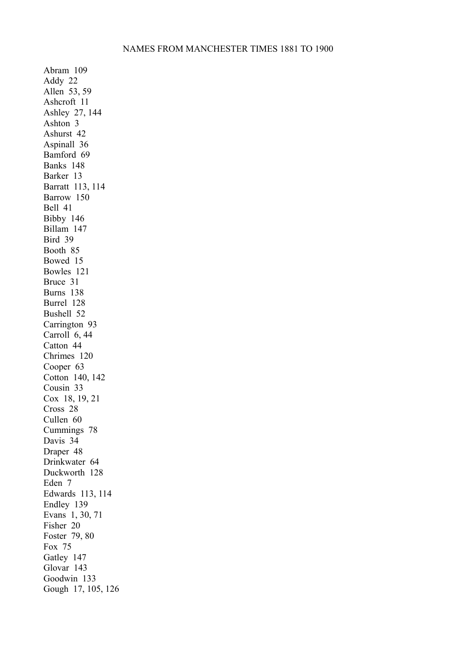Abram 109 Addy 22 Allen 53, 59 Ashcroft 11 Ashley 27, 144 Ashton 3 Ashurst 42 Aspinall 36 Bamford 69 Banks 148 Barker 13 Barratt 113, 114 Barrow 150 Bell 41 Bibby 146 Billam 147 Bird 39 Booth 85 Bowed 15 Bowles 121 Bruce 31 Burns 138 Burrel 128 Bushell 52 Carrington 93 Carroll 6, 44 Catton 44 Chrimes 120 Cooper 63 Cotton 140, 142 Cousin 33 Cox 18, 19, 21 Cross 28 Cullen 60 Cummings 78 Davis 34 Draper 48 Drinkwater 64 Duckworth 128 Eden 7 Edwards 113, 114 Endley 139 Evans 1, 30, 71 Fisher 20 Foster 79, 80 Fox 75 Gatley 147 Glovar 143 Goodwin 133 Gough 17, 105, 126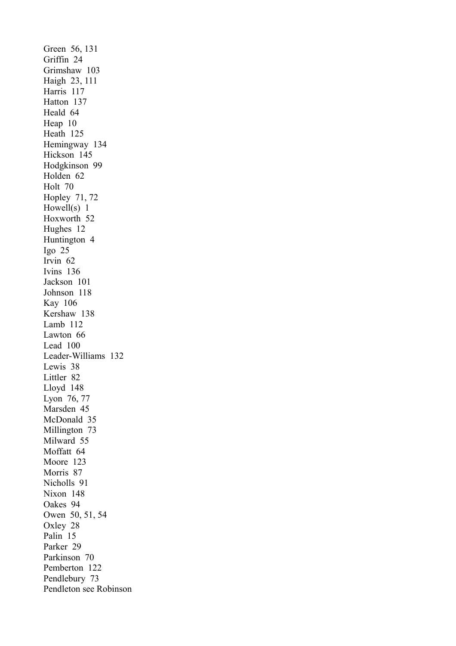Green 56, 131 Griffin 24 Grimshaw 103 Haigh 23, 111 Harris 117 Hatton 137 Heald 64 Heap 10 Heath 125 Hemingway 134 Hickson 145 Hodgkinson 99 Holden 62 Holt 70 Hopley 71, 72 Howell(s) 1 Hoxworth 52 Hughes 12 Huntington 4 Igo 25 Irvin 62 Ivins 136 Jackson 101 Johnson 118 Kay 106 Kershaw 138 Lamb 112 Lawton 66 Lead 100 Leader-Williams 132 Lewis 38 Littler 82 Lloyd 148 Lyon 76, 77 Marsden 45 McDonald 35 Millington 73 Milward 55 Moffatt 64 Moore 123 Morris 87 Nicholls 91 Nixon 148 Oakes 94 Owen 50, 51, 54 Oxley 28 Palin 15 Parker 29 Parkinson 70 Pemberton 122 Pendlebury 73 Pendleton see Robinson